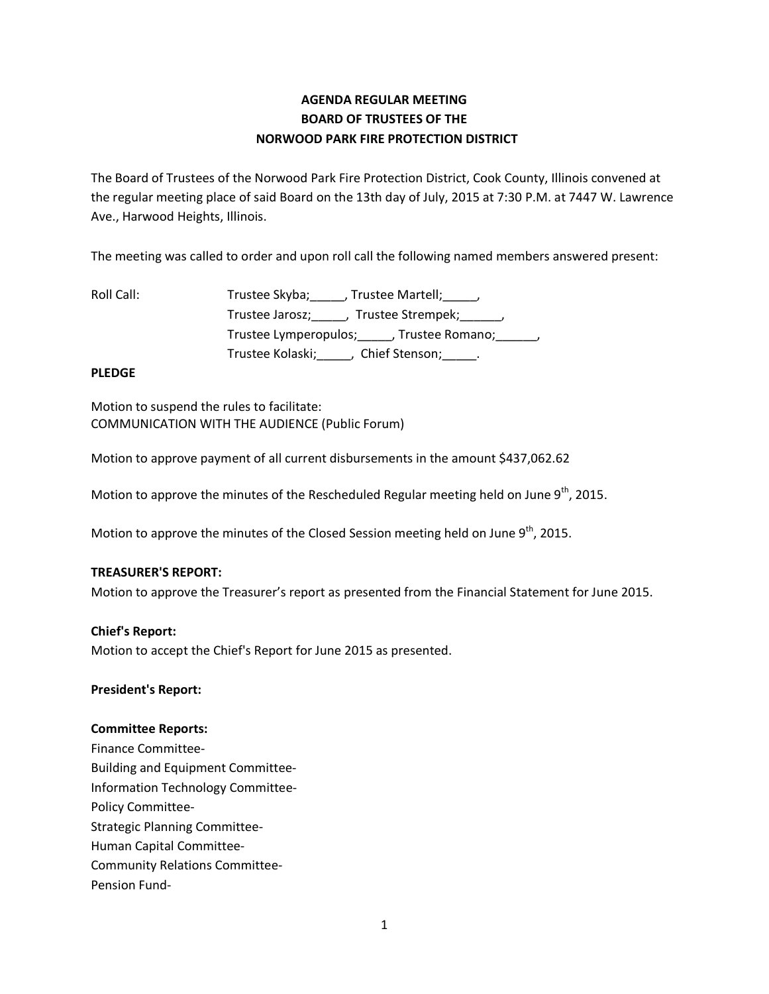# **AGENDA REGULAR MEETING BOARD OF TRUSTEES OF THE NORWOOD PARK FIRE PROTECTION DISTRICT**

The Board of Trustees of the Norwood Park Fire Protection District, Cook County, Illinois convened at the regular meeting place of said Board on the 13th day of July, 2015 at 7:30 P.M. at 7447 W. Lawrence Ave., Harwood Heights, Illinois.

The meeting was called to order and upon roll call the following named members answered present:

| Roll Call: | Trustee Skyba; , Trustee Martell; ,                  |
|------------|------------------------------------------------------|
|            | Trustee Jarosz; ______, Trustee Strempek; ______,    |
|            | Trustee Lymperopulos; _____, Trustee Romano; ______, |
|            | Trustee Kolaski;<br>Chief Stenson; ______.           |

### **PLEDGE**

Motion to suspend the rules to facilitate: COMMUNICATION WITH THE AUDIENCE (Public Forum)

Motion to approve payment of all current disbursements in the amount \$437,062.62

Motion to approve the minutes of the Rescheduled Regular meeting held on June 9<sup>th</sup>, 2015.

Motion to approve the minutes of the Closed Session meeting held on June 9<sup>th</sup>, 2015.

#### **TREASURER'S REPORT:**

Motion to approve the Treasurer's report as presented from the Financial Statement for June 2015.

#### **Chief's Report:**

Motion to accept the Chief's Report for June 2015 as presented.

#### **President's Report:**

#### **Committee Reports:**

Finance Committee-Building and Equipment Committee-Information Technology Committee-Policy Committee-Strategic Planning Committee-Human Capital Committee-Community Relations Committee-Pension Fund-